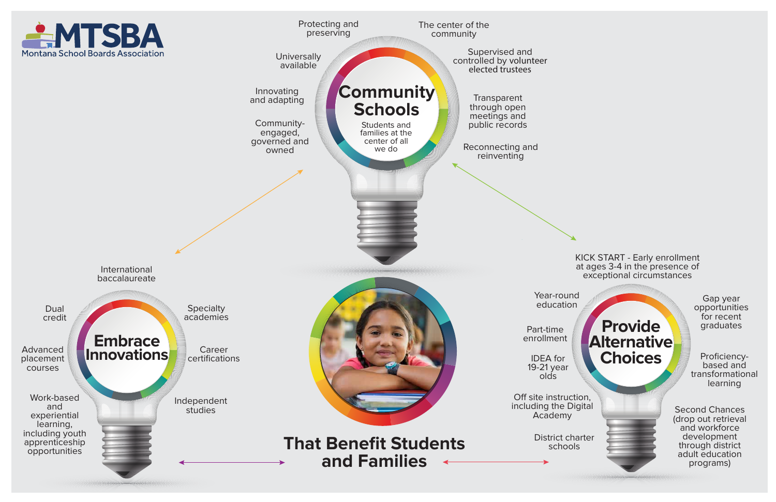**Provide**

**Alternative** 

**Choices**

KICK START - Early enrollment at ages 3-4 in the presence of exceptional circumstances

> Gap year opportunities for recent graduates

Second Chances (drop out retrieval and workforce development through district adult education programs)



Proficiencybased and transformational learning